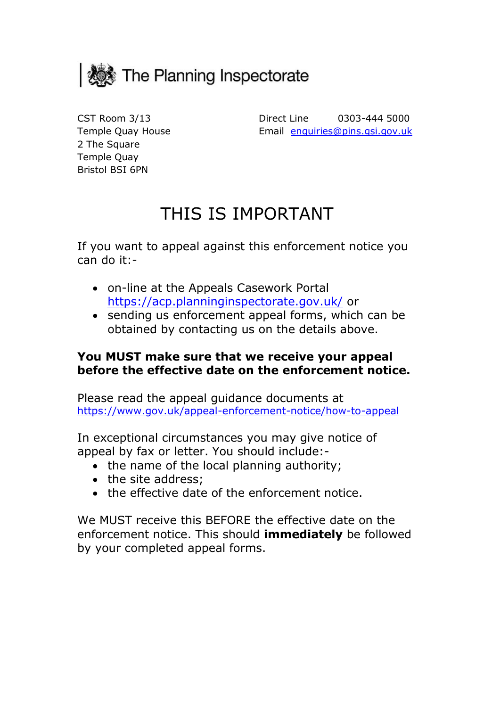

Temple Quay House Bristol BSI 6PN 2 The Square Temple Quay

 CST Room 3/13 Direct Line 0303-444 5000 Email enquiries@pins.gsi.gov.uk

# THIS IS IMPORTANT

If you want to appeal against this enforcement notice you can do it:-

- on-line at the Appeals Casework Portal <https://acp.planninginspectorate.gov.uk/>or
- obtained by contacting us on the details above. • sending us enforcement appeal forms, which can be

# **You MUST make sure that we receive your appeal before the effective date on the enforcement notice.**

Please read the appeal guidance documents at <https://www.gov.uk/appeal-enforcement-notice/how-to-appeal>

 appeal by fax or letter. You should include:- In exceptional circumstances you may give notice of

- the name of the local planning authority;
- the site address;
- the effective date of the enforcement notice.

 We MUST receive this BEFORE the effective date on the enforcement notice. This should **immediately** be followed by your completed appeal forms.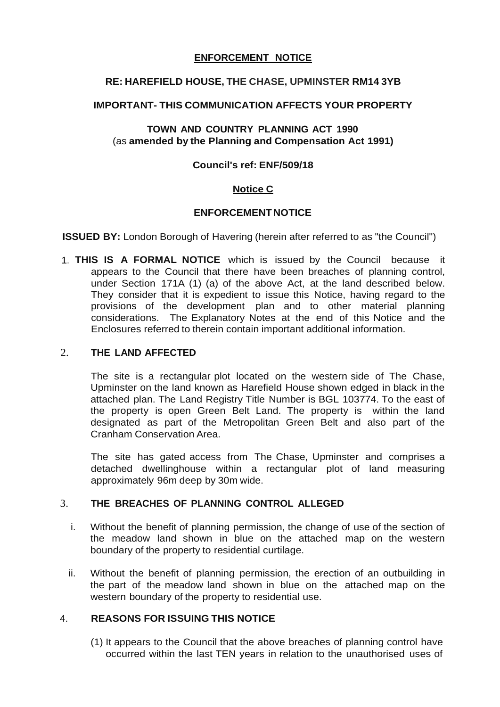#### **ENFORCEMENT NOTICE**

# **RE: HAREFIELD HOUSE, THE CHASE, UPMINSTER RM14 3YB**

# **IMPORTANT- THIS COMMUNICATION AFFECTS YOUR PROPERTY**

# **TOWN AND COUNTRY PLANNING ACT 1990**  (as **amended by the Planning and Compensation Act 1991)**

# **Council's ref: ENF/509/18**

# **Notice C**

#### **ENFORCEMENT NOTICE**

 **ISSUED BY:** London Borough of Havering (herein after referred to as "the Council")

 1. **THIS IS A FORMAL NOTICE** which is issued by the Council because it appears to the Council that there have been breaches of planning control, under Section 171A (1) (a) of the above Act, at the land described below. They consider that it is expedient to issue this Notice, having regard to the provisions of the development plan and to other material planning considerations. The Explanatory Notes at the end of this Notice and the Enclosures referred to therein contain important additional information.

## 2. **THE LAND AFFECTED**

 The site is a rectangular plot located on the western side of The Chase, Upminster on the land known as Harefield House shown edged in black in the attached plan. The Land Registry Title Number is BGL 103774. To the east of the property is open Green Belt Land. The property is within the land designated as part of the Metropolitan Green Belt and also part of the Cranham Conservation Area.

 The site has gated access from The Chase, Upminster and comprises a detached dwellinghouse within a rectangular plot of land measuring approximately 96m deep by 30m wide.

# 3. **THE BREACHES OF PLANNING CONTROL ALLEGED**

- i. Without the benefit of planning permission, the change of use of the section of the meadow land shown in blue on the attached map on the western boundary of the property to residential curtilage.
- ii. Without the benefit of planning permission, the erection of an outbuilding in the part of the meadow land shown in blue on the attached map on the western boundary of the property to residential use.

# 4. **REASONS FOR ISSUING THIS NOTICE**

 (1) It appears to the Council that the above breaches of planning control have occurred within the last TEN years in relation to the unauthorised uses of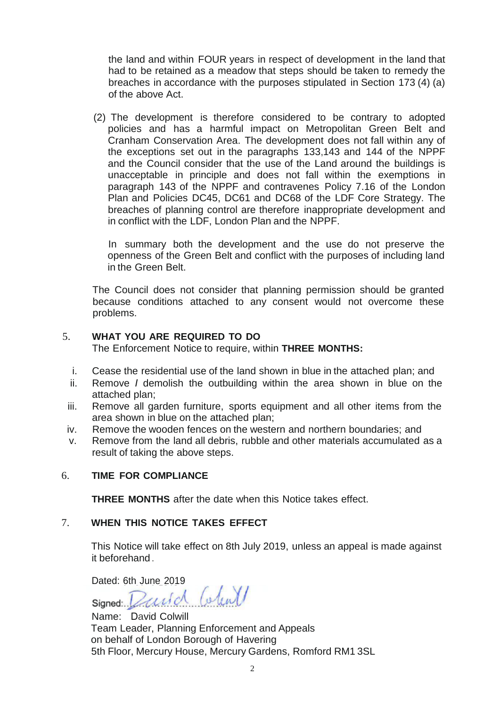the land and within FOUR years in respect of development in the land that had to be retained as a meadow that steps should be taken to remedy the breaches in accordance with the purposes stipulated in Section 173 (4) (a) of the above Act.

 (2) The development is therefore considered to be contrary to adopted policies and has a harmful impact on Metropolitan Green Belt and Cranham Conservation Area. The development does not fall within any of the exceptions set out in the paragraphs 133,143 and 144 of the NPPF and the Council consider that the use of the Land around the buildings is unacceptable in principle and does not fall within the exemptions in paragraph 143 of the NPPF and contravenes Policy 7.16 of the London Plan and Policies DC45, DC61 and DC68 of the LDF Core Strategy. The breaches of planning control are therefore inappropriate development and in conflict with the LDF, London Plan and the NPPF.

 In summary both the development and the use do not preserve the openness of the Green Belt and conflict with the purposes of including land in the Green Belt.

 The Council does not consider that planning permission should be granted because conditions attached to any consent would not overcome these problems.

# 5. **WHAT YOU ARE REQUIRED TO DO**

The Enforcement Notice to require, within **THREE MONTHS:** 

- i. Cease the residential use of the land shown in blue in the attached plan; and
- ii. Remove *I* demolish the outbuilding within the area shown in blue on the attached plan;
- iii. Remove all garden furniture, sports equipment and all other items from the area shown in blue on the attached plan;
- iv. Remove the wooden fences on the western and northern boundaries; and
- v. Remove from the land all debris, rubble and other materials accumulated as a result of taking the above steps.

#### 6. **TIME FOR COMPLIANCE**

**THREE MONTHS** after the date when this Notice takes effect.

#### 7. **WHEN THIS NOTICE TAKES EFFECT**

 This Notice will take effect on 8th July 2019, unless an appeal is made against it beforehand.

Dated: 6th June 2019

 on behalf of London Borough of Havering Name: David Colwill Team Leader, Planning Enforcement and Appeals 5th Floor, Mercury House, Mercury Gardens, Romford RM1 3SL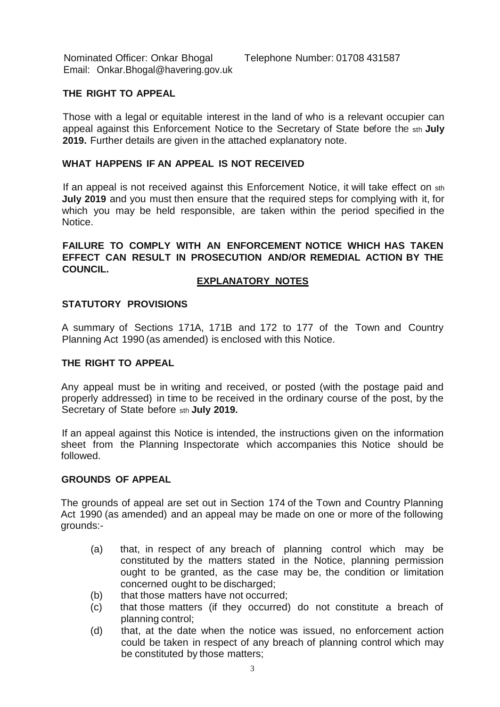Nominated Officer: Onkar Bhogal Email: [Onkar.Bhogal@havering.gov.uk](mailto:Onkar.Bhogal@havering.gov.uk) 

# **THE RIGHT TO APPEAL**

 Those with a legal or equitable interest in the land of who is a relevant occupier can appeal against this Enforcement Notice to the Secretary of State before the sth **July 2019.** Further details are given in the attached explanatory note.

# **WHAT HAPPENS IF AN APPEAL IS NOT RECEIVED**

 If an appeal is not received against this Enforcement Notice, it will take effect on sth  **July 2019** and you must then ensure that the required steps for complying with it, for which you may be held responsible, are taken within the period specified in the Notice.

 **FAILURE TO COMPLY WITH AN ENFORCEMENT NOTICE WHICH HAS TAKEN EFFECT CAN RESULT IN PROSECUTION AND/OR REMEDIAL ACTION BY THE COUNCIL.** 

# **EXPLANATORY NOTES**

#### **STATUTORY PROVISIONS**

 A summary of Sections 171A, 171B and 172 to 177 of the Town and Country Planning Act 1990 (as amended) is enclosed with this Notice.

# **THE RIGHT TO APPEAL**

 Any appeal must be in writing and received, or posted (with the postage paid and properly addressed) in time to be received in the ordinary course of the post, by the Secretary of State before sth **July 2019.** 

 If an appeal against this Notice is intended, the instructions given on the information sheet from the Planning Inspectorate which accompanies this Notice should be followed.

#### **GROUNDS OF APPEAL**

 The grounds of appeal are set out in Section 174 of the Town and Country Planning Act 1990 (as amended) and an appeal may be made on one or more of the following grounds:-

- $(a)$  constituted by the matters stated in the Notice, planning permission ought to be granted, as the case may be, the condition or limitation concerned ought to be discharged; that, in respect of any breach of planning control which may be
- $(b)$ that those matters have not occurred;
- $(c)$ that those matters (if they occurred) do not constitute a breach of planning control;
- $(d)$  could be taken in respect of any breach of planning control which may be constituted by those matters; that, at the date when the notice was issued, no enforcement action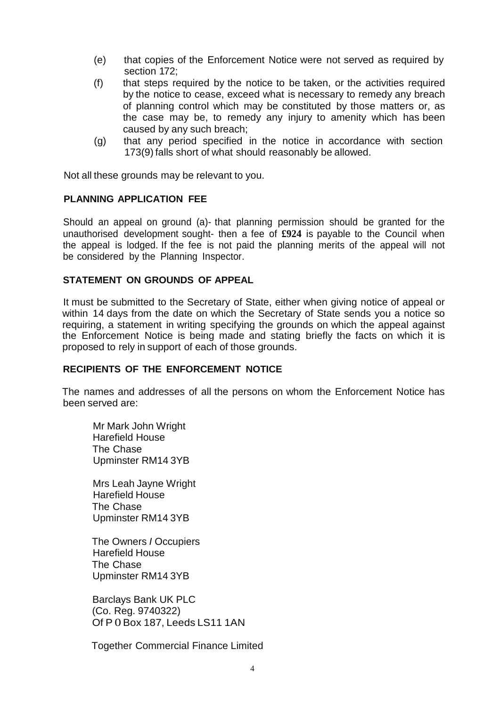- (e) that copies of the Enforcement Notice were not served as required by section 172;
- (f) that steps required by the notice to be taken, or the activities required by the notice to cease, exceed what is necessary to remedy any breach of planning control which may be constituted by those matters or, as the case may be, to remedy any injury to amenity which has been caused by any such breach;
- (g) that any period specified in the notice in accordance with section 173(9) falls short of what should reasonably be allowed.

Not all these grounds may be relevant to you.

#### **PLANNING APPLICATION FEE**

 Should an appeal on ground (a)- that planning permission should be granted for the unauthorised development sought- then a fee of **£924** is payable to the Council when the appeal is lodged. If the fee is not paid the planning merits of the appeal will not be considered by the Planning Inspector.

# **STATEMENT ON GROUNDS OF APPEAL**

 It must be submitted to the Secretary of State, either when giving notice of appeal or within 14 days from the date on which the Secretary of State sends you a notice so requiring, a statement in writing specifying the grounds on which the appeal against the Enforcement Notice is being made and stating briefly the facts on which it is proposed to rely in support of each of those grounds.

# **RECIPIENTS OF THE ENFORCEMENT NOTICE**

 The names and addresses of all the persons on whom the Enforcement Notice has been served are:

 Mr Mark John Wright Upminster RM14 3YB Harefield House The Chase

 Mrs Leah Jayne Wright Upminster RM14 3YB Harefield House The Chase

 The Owners *I* Occupiers Upminster RM14 3YB Harefield House The Chase

 Barclays Bank UK PLC (Co. Reg. 9740322) Of P 0 Box 187, Leeds LS11 1AN

Together Commercial Finance Limited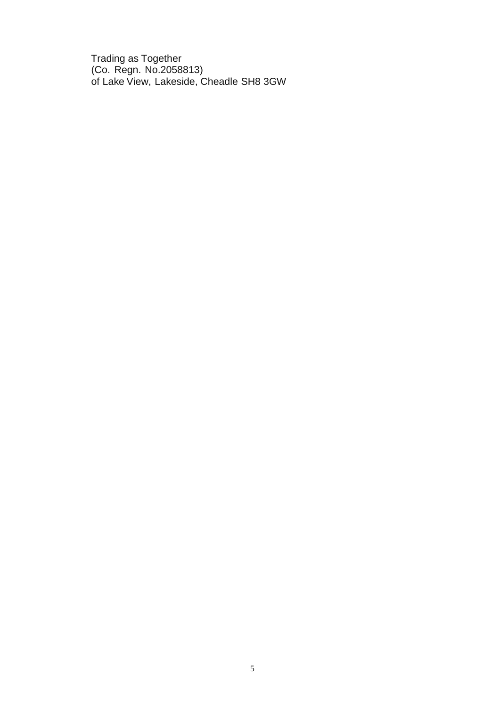Trading as Together (Co. Regn. No.2058813) of Lake View, Lakeside, Cheadle SH8 3GW